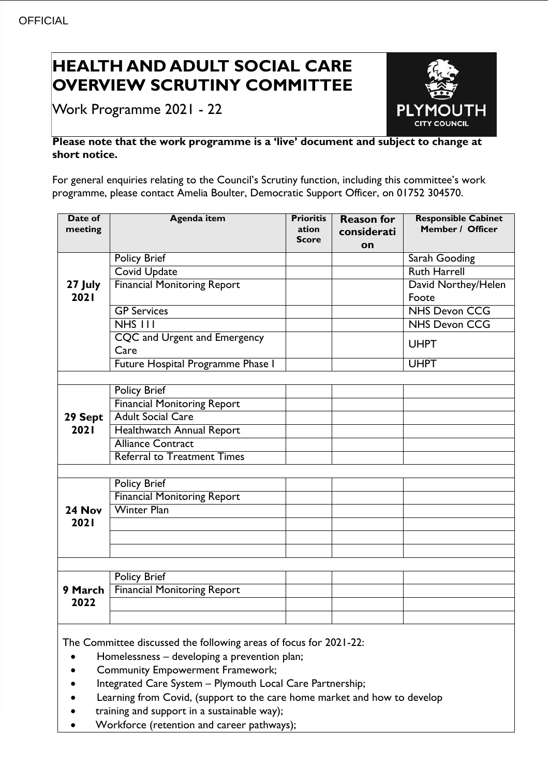# **HEALTH AND ADULT SOCIAL CARE OVERVIEW SCRUTINY COMMITTEE**

Work Programme 2021 - 22



### **Please note that the work programme is a 'live' document and subject to change at short notice.**

For general enquiries relating to the Council's Scrutiny function, including this committee's work programme, please contact Amelia Boulter, Democratic Support Officer, on 01752 304570.

| Date of<br>meeting                                                                                                | <b>Agenda item</b>                 | <b>Prioritis</b><br>ation<br><b>Score</b> | <b>Reason for</b><br>considerati<br>on | <b>Responsible Cabinet</b><br>Member / Officer |  |
|-------------------------------------------------------------------------------------------------------------------|------------------------------------|-------------------------------------------|----------------------------------------|------------------------------------------------|--|
| 27 July<br>2021                                                                                                   | <b>Policy Brief</b>                |                                           |                                        | Sarah Gooding                                  |  |
|                                                                                                                   | Covid Update                       |                                           |                                        | <b>Ruth Harrell</b>                            |  |
|                                                                                                                   | <b>Financial Monitoring Report</b> |                                           |                                        | David Northey/Helen<br>Foote                   |  |
|                                                                                                                   | <b>GP Services</b>                 |                                           |                                        | <b>NHS Devon CCG</b>                           |  |
|                                                                                                                   | NHS III                            |                                           |                                        | <b>NHS Devon CCG</b>                           |  |
|                                                                                                                   | CQC and Urgent and Emergency       |                                           |                                        | <b>UHPT</b>                                    |  |
|                                                                                                                   | Care                               |                                           |                                        |                                                |  |
|                                                                                                                   | Future Hospital Programme Phase I  |                                           |                                        | <b>UHPT</b>                                    |  |
|                                                                                                                   |                                    |                                           |                                        |                                                |  |
|                                                                                                                   | <b>Policy Brief</b>                |                                           |                                        |                                                |  |
|                                                                                                                   | <b>Financial Monitoring Report</b> |                                           |                                        |                                                |  |
| 29 Sept                                                                                                           | <b>Adult Social Care</b>           |                                           |                                        |                                                |  |
| 2021                                                                                                              | Healthwatch Annual Report          |                                           |                                        |                                                |  |
|                                                                                                                   | <b>Alliance Contract</b>           |                                           |                                        |                                                |  |
|                                                                                                                   | <b>Referral to Treatment Times</b> |                                           |                                        |                                                |  |
|                                                                                                                   |                                    |                                           |                                        |                                                |  |
|                                                                                                                   | <b>Policy Brief</b>                |                                           |                                        |                                                |  |
|                                                                                                                   | <b>Financial Monitoring Report</b> |                                           |                                        |                                                |  |
| 24 Nov                                                                                                            | <b>Winter Plan</b>                 |                                           |                                        |                                                |  |
| 2021                                                                                                              |                                    |                                           |                                        |                                                |  |
|                                                                                                                   |                                    |                                           |                                        |                                                |  |
|                                                                                                                   |                                    |                                           |                                        |                                                |  |
|                                                                                                                   |                                    |                                           |                                        |                                                |  |
| 9 March<br>2022                                                                                                   | Policy Brief                       |                                           |                                        |                                                |  |
|                                                                                                                   | <b>Financial Monitoring Report</b> |                                           |                                        |                                                |  |
|                                                                                                                   |                                    |                                           |                                        |                                                |  |
|                                                                                                                   |                                    |                                           |                                        |                                                |  |
| The Committee discussed the following areas of focus for 2021-22:<br>Homelessness - developing a prevention plan; |                                    |                                           |                                        |                                                |  |

- Community Empowerment Framework;
- Integrated Care System Plymouth Local Care Partnership;
- Learning from Covid, (support to the care home market and how to develop
- training and support in a sustainable way);
- Workforce (retention and career pathways);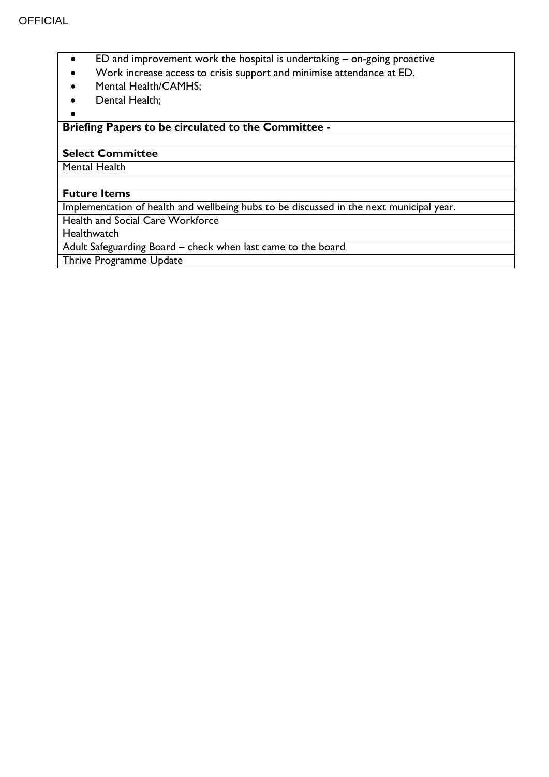- ED and improvement work the hospital is undertaking on-going proactive
- Work increase access to crisis support and minimise attendance at ED.
- Mental Health/CAMHS;
- Dental Health;

 $\bullet$ 

### **Briefing Papers to be circulated to the Committee -**

## **Select Committee**

Mental Health

#### **Future Items**

Implementation of health and wellbeing hubs to be discussed in the next municipal year.

Health and Social Care Workforce

**Healthwatch** 

Adult Safeguarding Board – check when last came to the board

Thrive Programme Update